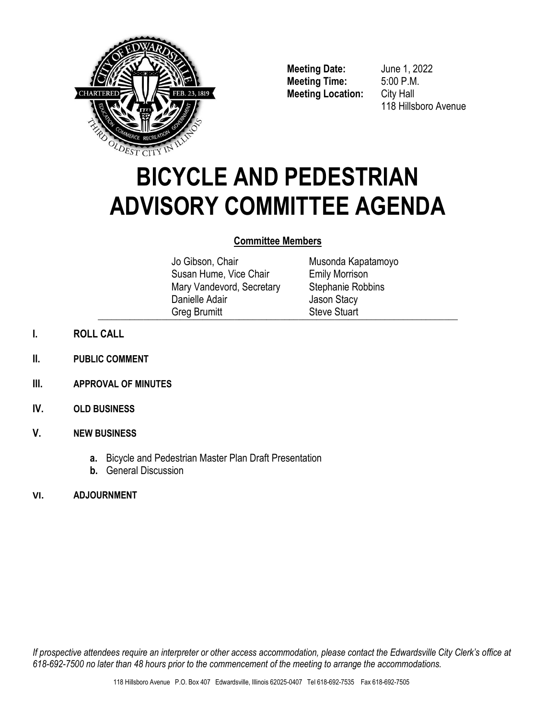

**Meeting Date:** June 1, 2022 **Meeting Time:** 5:00 P.M. **Meeting Location:** City Hall

118 Hillsboro Avenue

# **BICYCLE AND PEDESTRIAN ADVISORY COMMITTEE AGENDA**

# **Committee Members**

Jo Gibson, Chair Susan Hume, Vice Chair Mary Vandevord, Secretary Danielle Adair Greg Brumitt  $\bigcup$  is the condition of  $\bigcup$  is the conditional  $\bigcup$  is the conditional  $\bigcup$  is the conditional  $\bigcup$  is the conditional  $\bigcup$  is the conditional  $\bigcup$  is the conditional  $\bigcup$  is the conditional  $\bigcup$  is the conditi

Musonda Kapatamoyo Emily Morrison Stephanie Robbins Jason Stacy Steve Stuart

- **I. ROLL CALL**
- **II. PUBLIC COMMENT**
- **III. APPROVAL OF MINUTES**
- **IV. OLD BUSINESS**

## **V. NEW BUSINESS**

- **a.** Bicycle and Pedestrian Master Plan Draft Presentation
- **b.** General Discussion
- **VI. ADJOURNMENT**

*If prospective attendees require an interpreter or other access accommodation, please contact the Edwardsville City Clerk's office at 618-692-7500 no later than 48 hours prior to the commencement of the meeting to arrange the accommodations.*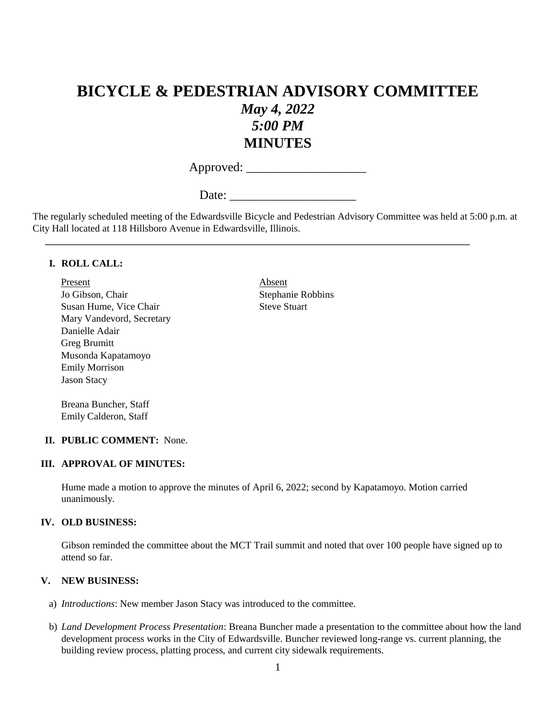# **BICYCLE & PEDESTRIAN ADVISORY COMMITTEE** *May 4, 2022 5:00 PM* **MINUTES**

Approved: \_\_\_\_\_\_\_\_\_\_\_\_\_\_\_\_\_\_\_

Date:

The regularly scheduled meeting of the Edwardsville Bicycle and Pedestrian Advisory Committee was held at 5:00 p.m. at City Hall located at 118 Hillsboro Avenue in Edwardsville, Illinois.

#### **I. ROLL CALL:**

Present Absent Jo Gibson, Chair Stephanie Robbins Susan Hume, Vice Chair Steve Stuart Mary Vandevord, Secretary Danielle Adair Greg Brumitt Musonda Kapatamoyo Emily Morrison Jason Stacy

Breana Buncher, Staff Emily Calderon, Staff

#### **II. PUBLIC COMMENT:** None.

#### **III. APPROVAL OF MINUTES:**

Hume made a motion to approve the minutes of April 6, 2022; second by Kapatamoyo. Motion carried unanimously.

#### **IV. OLD BUSINESS:**

Gibson reminded the committee about the MCT Trail summit and noted that over 100 people have signed up to attend so far.

#### **V. NEW BUSINESS:**

- a) *Introductions*: New member Jason Stacy was introduced to the committee.
- b) *Land Development Process Presentation*: Breana Buncher made a presentation to the committee about how the land development process works in the City of Edwardsville. Buncher reviewed long-range vs. current planning, the building review process, platting process, and current city sidewalk requirements.